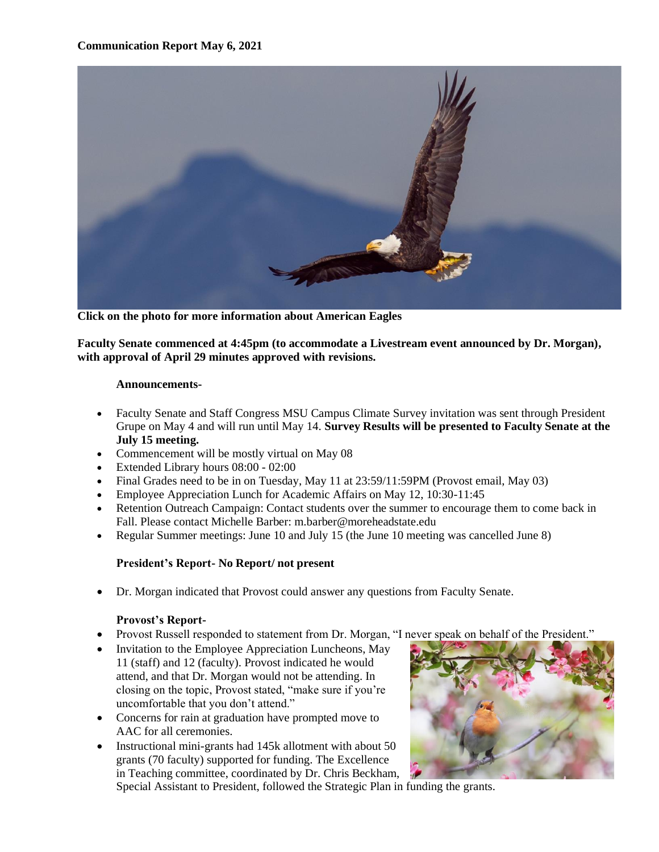

**Click on the photo for more information about American Eagles**

**Faculty Senate commenced at 4:45pm (to accommodate a Livestream event announced by Dr. Morgan), with approval of April 29 minutes approved with revisions.**

#### **Announcements-**

- Faculty Senate and Staff Congress MSU Campus Climate Survey invitation was sent through President Grupe on May 4 and will run until May 14. **Survey Results will be presented to Faculty Senate at the July 15 meeting.**
- Commencement will be mostly virtual on May 08
- Extended Library hours 08:00 02:00
- Final Grades need to be in on Tuesday, May 11 at 23:59/11:59PM (Provost email, May 03)
- Employee Appreciation Lunch for Academic Affairs on May 12, 10:30-11:45
- Retention Outreach Campaign: Contact students over the summer to encourage them to come back in Fall. Please contact Michelle Barber: m.barber@moreheadstate.edu
- Regular Summer meetings: June 10 and July 15 (the June 10 meeting was cancelled June 8)

#### **President's Report- No Report/ not present**

• Dr. Morgan indicated that Provost could answer any questions from Faculty Senate.

#### **Provost's Report-**

- Provost Russell responded to statement from Dr. Morgan, "I never speak on behalf of the President."
- Invitation to the Employee Appreciation Luncheons, May 11 (staff) and 12 (faculty). Provost indicated he would attend, and that Dr. Morgan would not be attending. In closing on the topic, Provost stated, "make sure if you're uncomfortable that you don't attend."
- Concerns for rain at graduation have prompted move to AAC for all ceremonies.
- Instructional mini-grants had 145k allotment with about 50 grants (70 faculty) supported for funding. The Excellence in Teaching committee, coordinated by Dr. Chris Beckham,



Special Assistant to President, followed the Strategic Plan in funding the grants.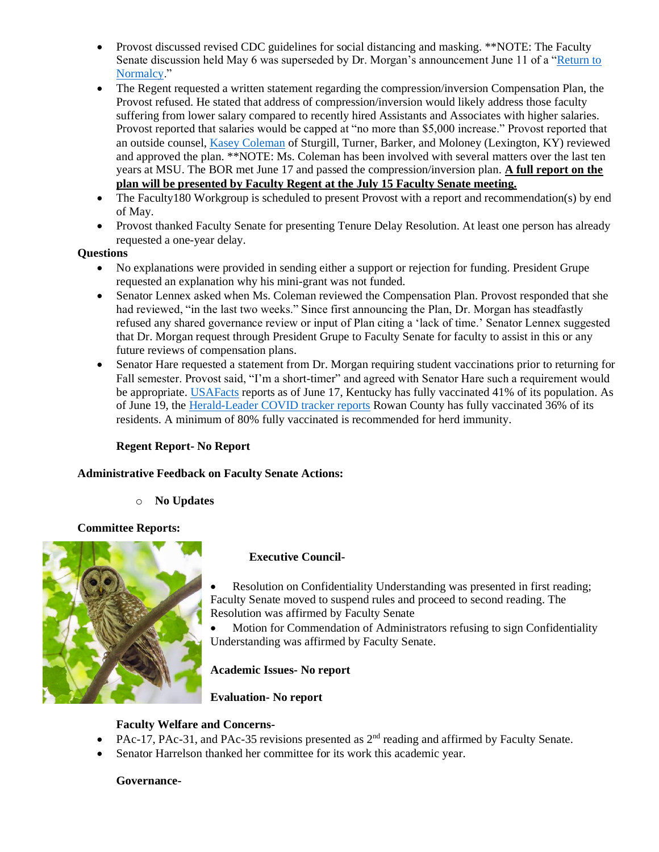- Provost discussed revised CDC guidelines for social distancing and masking. \*\*NOTE: The Faculty Senate discussion held May 6 was superseded by Dr. Morgan's announcement June 11 of a ["Return to](http://www.thetrailblazeronline.net/news/article_234c2970-caee-11eb-af64-9ba77f321ec1.html?fbclid=IwAR0FtpZFKWDHUNbUipbNWBDBPGixsZme0efKR5D2CQ5hSompSS0G7wZkabs)  [Normalcy.](http://www.thetrailblazeronline.net/news/article_234c2970-caee-11eb-af64-9ba77f321ec1.html?fbclid=IwAR0FtpZFKWDHUNbUipbNWBDBPGixsZme0efKR5D2CQ5hSompSS0G7wZkabs)"
- The Regent requested a written statement regarding the compression/inversion Compensation Plan, the Provost refused. He stated that address of compression/inversion would likely address those faculty suffering from lower salary compared to recently hired Assistants and Associates with higher salaries. Provost reported that salaries would be capped at "no more than \$5,000 increase." Provost reported that an outside counsel, [Kasey Coleman](https://www.sturgillturner.com/katherine-m-coleman) of Sturgill, Turner, Barker, and Moloney (Lexington, KY) reviewed and approved the plan. \*\*NOTE: Ms. Coleman has been involved with several matters over the last ten years at MSU. The BOR met June 17 and passed the compression/inversion plan. **A full report on the plan will be presented by Faculty Regent at the July 15 Faculty Senate meeting.**
- The Faculty180 Workgroup is scheduled to present Provost with a report and recommendation(s) by end of May.
- Provost thanked Faculty Senate for presenting Tenure Delay Resolution. At least one person has already requested a one-year delay.

#### **Questions**

- No explanations were provided in sending either a support or rejection for funding. President Grupe requested an explanation why his mini-grant was not funded.
- Senator Lennex asked when Ms. Coleman reviewed the Compensation Plan. Provost responded that she had reviewed, "in the last two weeks." Since first announcing the Plan, Dr. Morgan has steadfastly refused any shared governance review or input of Plan citing a 'lack of time.' Senator Lennex suggested that Dr. Morgan request through President Grupe to Faculty Senate for faculty to assist in this or any future reviews of compensation plans.
- Senator Hare requested a statement from Dr. Morgan requiring student vaccinations prior to returning for Fall semester. Provost said, "I'm a short-timer" and agreed with Senator Hare such a requirement would be appropriate[. USAFacts](https://usafacts.org/visualizations/covid-vaccine-tracker-states/state/kentucky) reports as of June 17, Kentucky has fully vaccinated 41% of its population. As of June 19, the [Herald-Leader COVID tracker reports](https://data.news-leader.com/covid-19-vaccine-tracker/kentucky/21/) Rowan County has fully vaccinated 36% of its residents. A minimum of 80% fully vaccinated is recommended for herd immunity.

### **Regent Report- No Report**

### **Administrative Feedback on Faculty Senate Actions:**

o **No Updates** 

### **Committee Reports:**



### **Executive Council-**

Resolution on Confidentiality Understanding was presented in first reading; Faculty Senate moved to suspend rules and proceed to second reading. The Resolution was affirmed by Faculty Senate

• Motion for Commendation of Administrators refusing to sign Confidentiality Understanding was affirmed by Faculty Senate.

### **Academic Issues- No report**

### **Evaluation- No report**

### **Faculty Welfare and Concerns-**

- PAc-17, PAc-31, and PAc-35 revisions presented as  $2<sup>nd</sup>$  reading and affirmed by Faculty Senate.
- Senator Harrelson thanked her committee for its work this academic year.

#### **Governance-**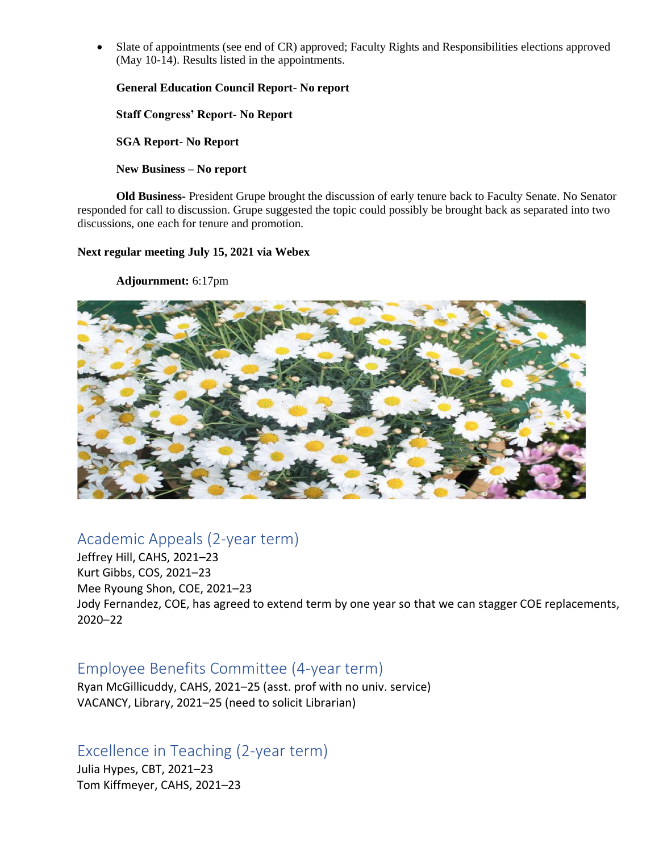Slate of appointments (see end of CR) approved; Faculty Rights and Responsibilities elections approved (May 10-14). Results listed in the appointments.

**General Education Council Report- No report**

**Staff Congress' Report- No Report**

**SGA Report- No Report**

**New Business – No report**

**Old Business-** President Grupe brought the discussion of early tenure back to Faculty Senate. No Senator responded for call to discussion. Grupe suggested the topic could possibly be brought back as separated into two discussions, one each for tenure and promotion.

**Next regular meeting July 15, 2021 via Webex**

**Adjournment:** 6:17pm



# Academic Appeals (2-year term)

Jeffrey Hill, CAHS, 2021–23 Kurt Gibbs, COS, 2021–23 Mee Ryoung Shon, COE, 2021–23 Jody Fernandez, COE, has agreed to extend term by one year so that we can stagger COE replacements, 2020–22

# Employee Benefits Committee (4-year term)

Ryan McGillicuddy, CAHS, 2021–25 (asst. prof with no univ. service) VACANCY, Library, 2021–25 (need to solicit Librarian)

Excellence in Teaching (2-year term)

Julia Hypes, CBT, 2021–23 Tom Kiffmeyer, CAHS, 2021–23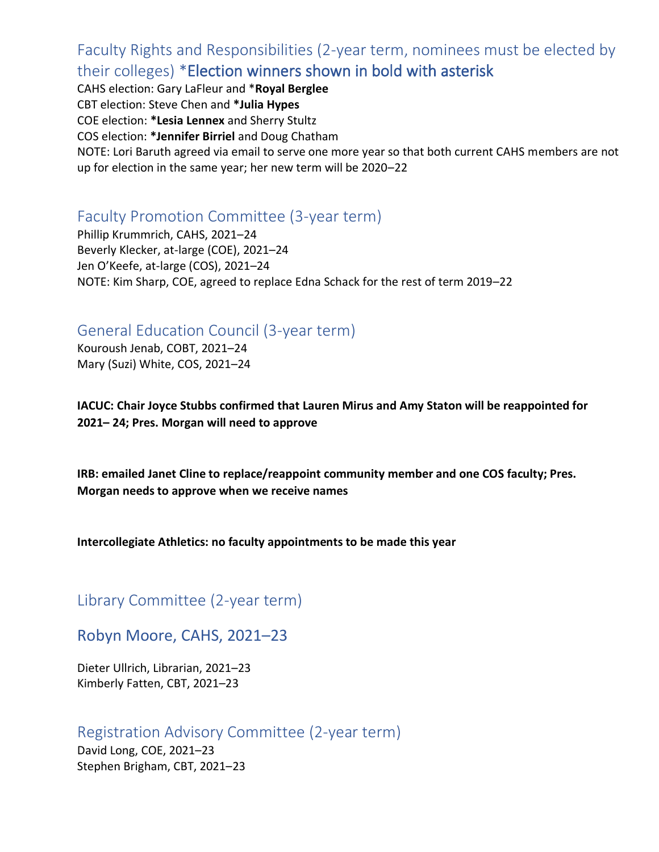Faculty Rights and Responsibilities (2-year term, nominees must be elected by their colleges) \*Election winners shown in bold with asterisk

CAHS election: Gary LaFleur and \***Royal Berglee** CBT election: Steve Chen and **\*Julia Hypes** COE election: **\*Lesia Lennex** and Sherry Stultz COS election: **\*Jennifer Birriel** and Doug Chatham NOTE: Lori Baruth agreed via email to serve one more year so that both current CAHS members are not up for election in the same year; her new term will be 2020–22

# Faculty Promotion Committee (3-year term)

Phillip Krummrich, CAHS, 2021–24 Beverly Klecker, at-large (COE), 2021–24 Jen O'Keefe, at-large (COS), 2021–24 NOTE: Kim Sharp, COE, agreed to replace Edna Schack for the rest of term 2019–22

# General Education Council (3-year term)

Kouroush Jenab, COBT, 2021–24 Mary (Suzi) White, COS, 2021–24

**IACUC: Chair Joyce Stubbs confirmed that Lauren Mirus and Amy Staton will be reappointed for 2021– 24; Pres. Morgan will need to approve** 

**IRB: emailed Janet Cline to replace/reappoint community member and one COS faculty; Pres. Morgan needs to approve when we receive names** 

### **Intercollegiate Athletics: no faculty appointments to be made this year**

Library Committee (2-year term)

## Robyn Moore, CAHS, 2021–23

Dieter Ullrich, Librarian, 2021–23 Kimberly Fatten, CBT, 2021–23

## Registration Advisory Committee (2-year term)

David Long, COE, 2021–23 Stephen Brigham, CBT, 2021–23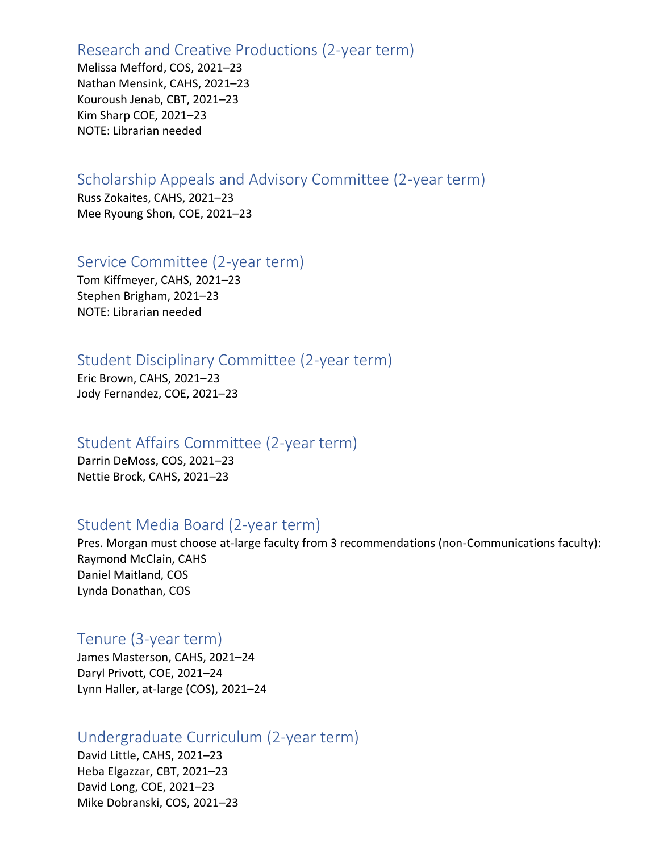## Research and Creative Productions (2-year term)

Melissa Mefford, COS, 2021–23 Nathan Mensink, CAHS, 2021–23 Kouroush Jenab, CBT, 2021–23 Kim Sharp COE, 2021–23 NOTE: Librarian needed

# Scholarship Appeals and Advisory Committee (2-year term)

Russ Zokaites, CAHS, 2021–23 Mee Ryoung Shon, COE, 2021–23

## Service Committee (2-year term)

Tom Kiffmeyer, CAHS, 2021–23 Stephen Brigham, 2021–23 NOTE: Librarian needed

## Student Disciplinary Committee (2-year term)

Eric Brown, CAHS, 2021–23 Jody Fernandez, COE, 2021–23

## Student Affairs Committee (2-year term)

Darrin DeMoss, COS, 2021–23 Nettie Brock, CAHS, 2021–23

## Student Media Board (2-year term)

Pres. Morgan must choose at-large faculty from 3 recommendations (non-Communications faculty): Raymond McClain, CAHS Daniel Maitland, COS Lynda Donathan, COS

## Tenure (3-year term)

James Masterson, CAHS, 2021–24 Daryl Privott, COE, 2021–24 Lynn Haller, at-large (COS), 2021–24

## Undergraduate Curriculum (2-year term)

David Little, CAHS, 2021–23 Heba Elgazzar, CBT, 2021–23 David Long, COE, 2021–23 Mike Dobranski, COS, 2021–23